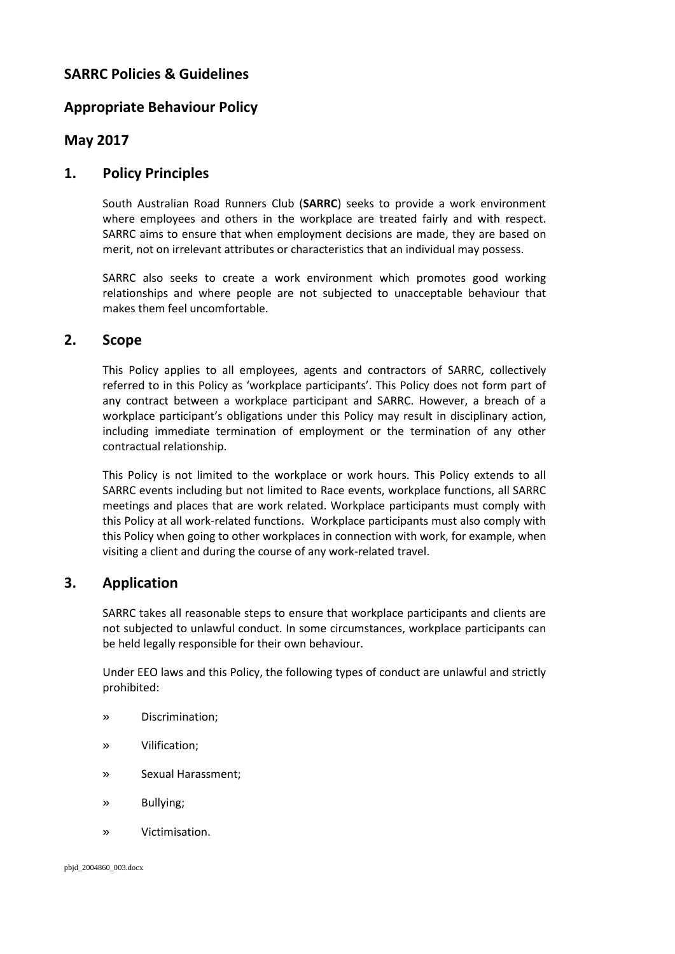# **SARRC Policies & Guidelines**

# **Appropriate Behaviour Policy**

## **May 2017**

## **1. Policy Principles**

South Australian Road Runners Club (**SARRC**) seeks to provide a work environment where employees and others in the workplace are treated fairly and with respect. SARRC aims to ensure that when employment decisions are made, they are based on merit, not on irrelevant attributes or characteristics that an individual may possess.

SARRC also seeks to create a work environment which promotes good working relationships and where people are not subjected to unacceptable behaviour that makes them feel uncomfortable.

## **2. Scope**

This Policy applies to all employees, agents and contractors of SARRC, collectively referred to in this Policy as 'workplace participants'. This Policy does not form part of any contract between a workplace participant and SARRC. However, a breach of a workplace participant's obligations under this Policy may result in disciplinary action, including immediate termination of employment or the termination of any other contractual relationship.

This Policy is not limited to the workplace or work hours. This Policy extends to all SARRC events including but not limited to Race events, workplace functions, all SARRC meetings and places that are work related. Workplace participants must comply with this Policy at all work-related functions. Workplace participants must also comply with this Policy when going to other workplaces in connection with work, for example, when visiting a client and during the course of any work-related travel.

## **3. Application**

SARRC takes all reasonable steps to ensure that workplace participants and clients are not subjected to unlawful conduct. In some circumstances, workplace participants can be held legally responsible for their own behaviour.

Under EEO laws and this Policy, the following types of conduct are unlawful and strictly prohibited:

- » Discrimination;
- » Vilification;
- » Sexual Harassment;
- » Bullying;
- » Victimisation.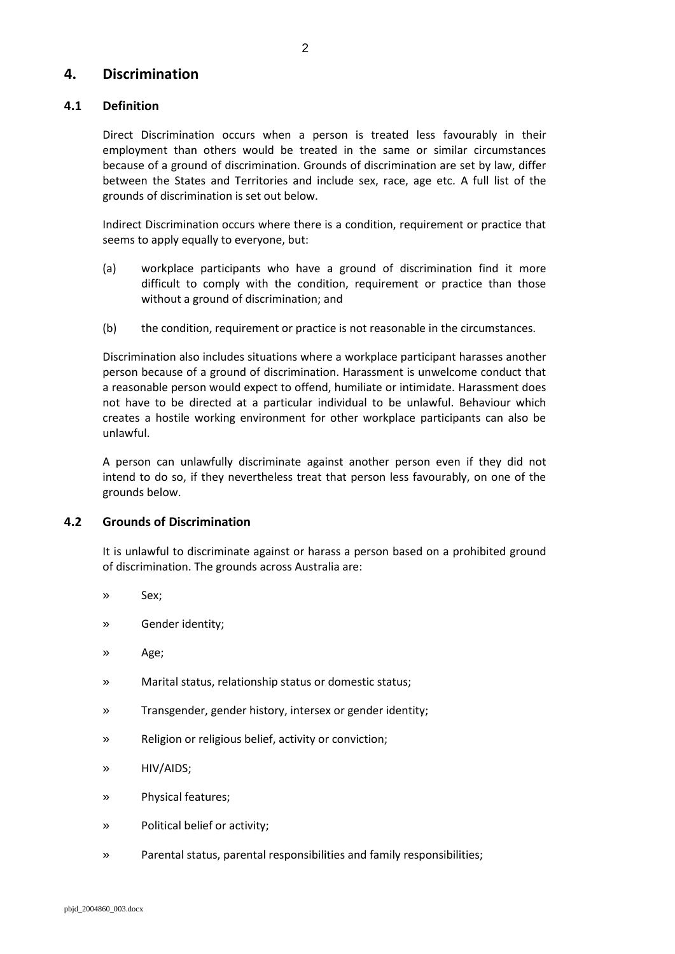## **4. Discrimination**

## **4.1 Definition**

Direct Discrimination occurs when a person is treated less favourably in their employment than others would be treated in the same or similar circumstances because of a ground of discrimination. Grounds of discrimination are set by law, differ between the States and Territories and include sex, race, age etc. A full list of the grounds of discrimination is set out below.

Indirect Discrimination occurs where there is a condition, requirement or practice that seems to apply equally to everyone, but:

- (a) workplace participants who have a ground of discrimination find it more difficult to comply with the condition, requirement or practice than those without a ground of discrimination; and
- (b) the condition, requirement or practice is not reasonable in the circumstances.

Discrimination also includes situations where a workplace participant harasses another person because of a ground of discrimination. Harassment is unwelcome conduct that a reasonable person would expect to offend, humiliate or intimidate. Harassment does not have to be directed at a particular individual to be unlawful. Behaviour which creates a hostile working environment for other workplace participants can also be unlawful.

A person can unlawfully discriminate against another person even if they did not intend to do so, if they nevertheless treat that person less favourably, on one of the grounds below.

#### **4.2 Grounds of Discrimination**

It is unlawful to discriminate against or harass a person based on a prohibited ground of discrimination. The grounds across Australia are:

- » Sex;
- » Gender identity;
- » Age;
- » Marital status, relationship status or domestic status;
- » Transgender, gender history, intersex or gender identity;
- » Religion or religious belief, activity or conviction;
- » HIV/AIDS;
- » Physical features;
- » Political belief or activity;
- » Parental status, parental responsibilities and family responsibilities;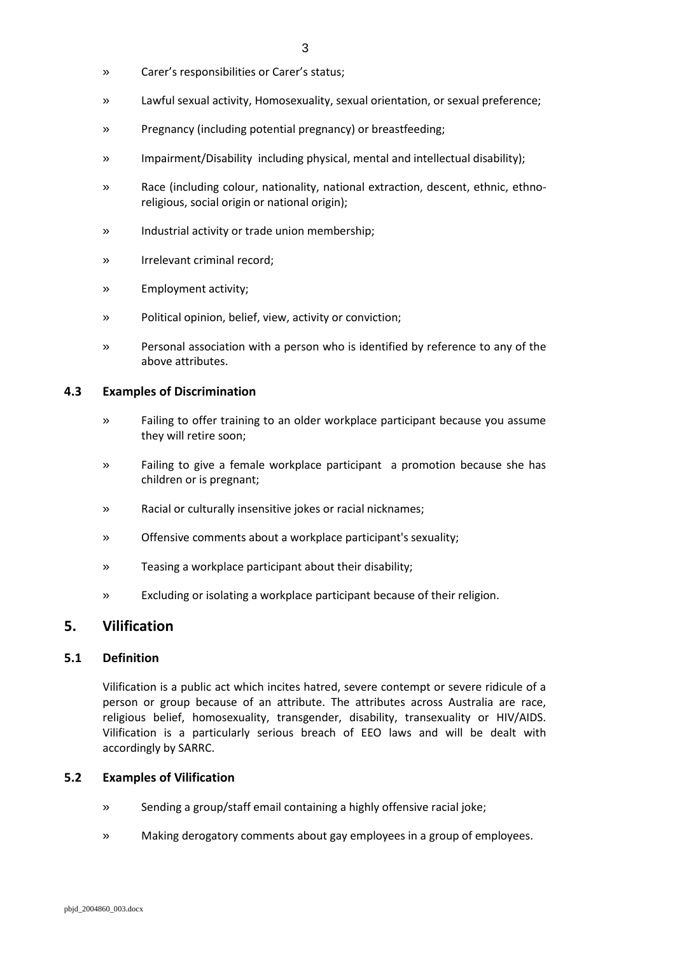- » Carer's responsibilities or Carer's status;
- » Lawful sexual activity, Homosexuality, sexual orientation, or sexual preference;
- » Pregnancy (including potential pregnancy) or breastfeeding;
- » Impairment/Disability including physical, mental and intellectual disability);
- » Race (including colour, nationality, national extraction, descent, ethnic, ethnoreligious, social origin or national origin);
- » Industrial activity or trade union membership;
- » Irrelevant criminal record;
- » Employment activity;
- » Political opinion, belief, view, activity or conviction;
- » Personal association with a person who is identified by reference to any of the above attributes.

#### **4.3 Examples of Discrimination**

- » Failing to offer training to an older workplace participant because you assume they will retire soon;
- » Failing to give a female workplace participant a promotion because she has children or is pregnant;
- » Racial or culturally insensitive jokes or racial nicknames;
- » Offensive comments about a workplace participant's sexuality;
- » Teasing a workplace participant about their disability;
- » Excluding or isolating a workplace participant because of their religion.

## **5. Vilification**

#### **5.1 Definition**

Vilification is a public act which incites hatred, severe contempt or severe ridicule of a person or group because of an attribute. The attributes across Australia are race, religious belief, homosexuality, transgender, disability, transexuality or HIV/AIDS. Vilification is a particularly serious breach of EEO laws and will be dealt with accordingly by SARRC.

#### **5.2 Examples of Vilification**

- » Sending a group/staff email containing a highly offensive racial joke;
- » Making derogatory comments about gay employees in a group of employees.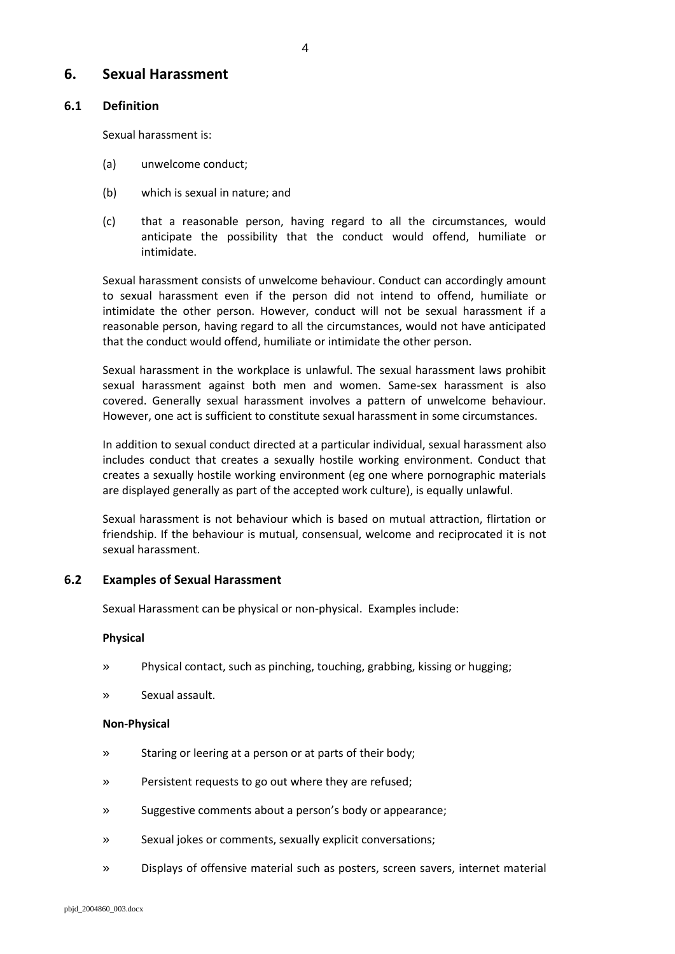## **6. Sexual Harassment**

### **6.1 Definition**

Sexual harassment is:

- (a) unwelcome conduct;
- (b) which is sexual in nature; and
- (c) that a reasonable person, having regard to all the circumstances, would anticipate the possibility that the conduct would offend, humiliate or intimidate.

Sexual harassment consists of unwelcome behaviour. Conduct can accordingly amount to sexual harassment even if the person did not intend to offend, humiliate or intimidate the other person. However, conduct will not be sexual harassment if a reasonable person, having regard to all the circumstances, would not have anticipated that the conduct would offend, humiliate or intimidate the other person.

Sexual harassment in the workplace is unlawful. The sexual harassment laws prohibit sexual harassment against both men and women. Same-sex harassment is also covered. Generally sexual harassment involves a pattern of unwelcome behaviour. However, one act is sufficient to constitute sexual harassment in some circumstances.

In addition to sexual conduct directed at a particular individual, sexual harassment also includes conduct that creates a sexually hostile working environment. Conduct that creates a sexually hostile working environment (eg one where pornographic materials are displayed generally as part of the accepted work culture), is equally unlawful.

Sexual harassment is not behaviour which is based on mutual attraction, flirtation or friendship. If the behaviour is mutual, consensual, welcome and reciprocated it is not sexual harassment.

#### **6.2 Examples of Sexual Harassment**

Sexual Harassment can be physical or non-physical. Examples include:

#### **Physical**

- » Physical contact, such as pinching, touching, grabbing, kissing or hugging;
- » Sexual assault.

#### **Non-Physical**

- » Staring or leering at a person or at parts of their body;
- » Persistent requests to go out where they are refused;
- » Suggestive comments about a person's body or appearance;
- » Sexual jokes or comments, sexually explicit conversations;
- » Displays of offensive material such as posters, screen savers, internet material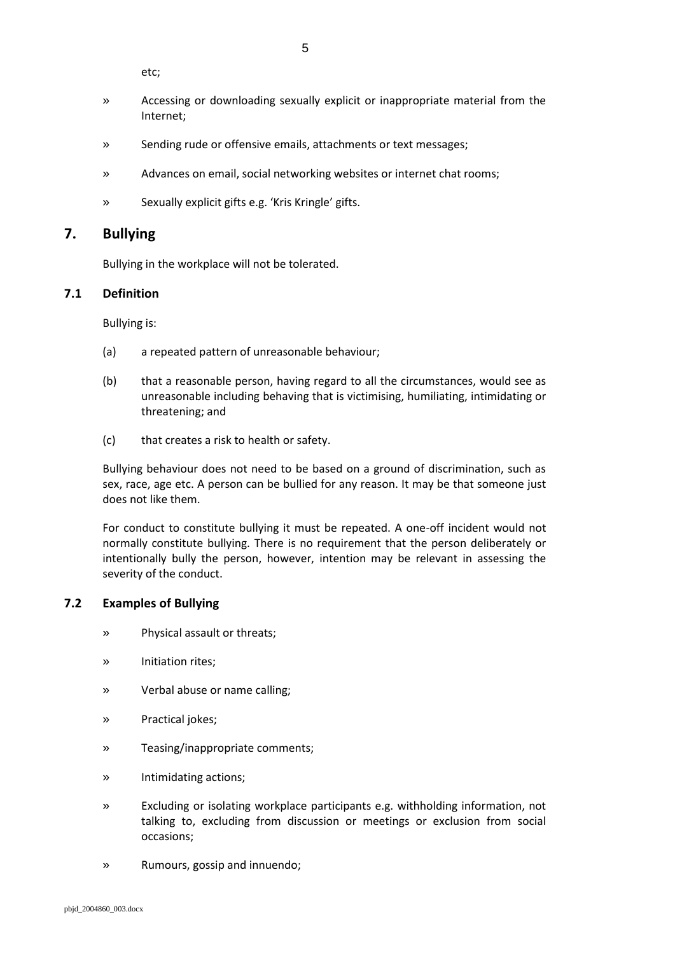5

etc;

- » Accessing or downloading sexually explicit or inappropriate material from the Internet;
- » Sending rude or offensive emails, attachments or text messages;
- » Advances on email, social networking websites or internet chat rooms;
- » Sexually explicit gifts e.g. 'Kris Kringle' gifts.

## **7. Bullying**

Bullying in the workplace will not be tolerated.

### **7.1 Definition**

Bullying is:

- (a) a repeated pattern of unreasonable behaviour;
- (b) that a reasonable person, having regard to all the circumstances, would see as unreasonable including behaving that is victimising, humiliating, intimidating or threatening; and
- (c) that creates a risk to health or safety.

Bullying behaviour does not need to be based on a ground of discrimination, such as sex, race, age etc. A person can be bullied for any reason. It may be that someone just does not like them.

For conduct to constitute bullying it must be repeated. A one-off incident would not normally constitute bullying. There is no requirement that the person deliberately or intentionally bully the person, however, intention may be relevant in assessing the severity of the conduct.

## **7.2 Examples of Bullying**

- » Physical assault or threats;
- » Initiation rites;
- » Verbal abuse or name calling;
- » Practical jokes;
- » Teasing/inappropriate comments;
- » Intimidating actions;
- » Excluding or isolating workplace participants e.g. withholding information, not talking to, excluding from discussion or meetings or exclusion from social occasions;
- » Rumours, gossip and innuendo;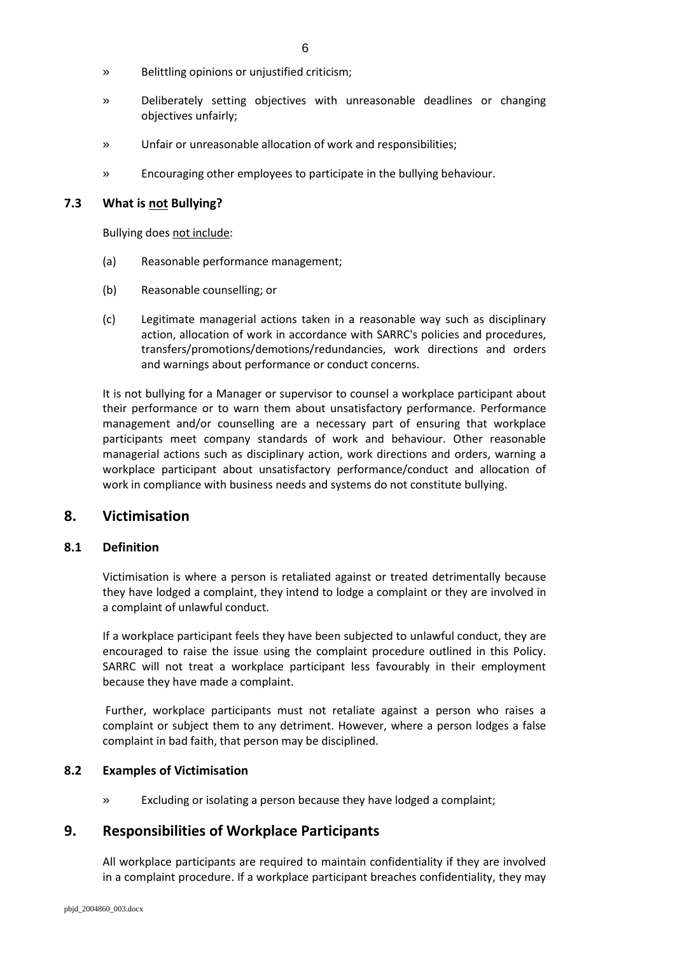- » Belittling opinions or unjustified criticism;
- » Deliberately setting objectives with unreasonable deadlines or changing objectives unfairly;
- » Unfair or unreasonable allocation of work and responsibilities;
- » Encouraging other employees to participate in the bullying behaviour.

#### **7.3 What is not Bullying?**

Bullying does not include:

- (a) Reasonable performance management;
- (b) Reasonable counselling; or
- (c) Legitimate managerial actions taken in a reasonable way such as disciplinary action, allocation of work in accordance with SARRC's policies and procedures, transfers/promotions/demotions/redundancies, work directions and orders and warnings about performance or conduct concerns.

It is not bullying for a Manager or supervisor to counsel a workplace participant about their performance or to warn them about unsatisfactory performance. Performance management and/or counselling are a necessary part of ensuring that workplace participants meet company standards of work and behaviour. Other reasonable managerial actions such as disciplinary action, work directions and orders, warning a workplace participant about unsatisfactory performance/conduct and allocation of work in compliance with business needs and systems do not constitute bullying.

## **8. Victimisation**

#### **8.1 Definition**

Victimisation is where a person is retaliated against or treated detrimentally because they have lodged a complaint, they intend to lodge a complaint or they are involved in a complaint of unlawful conduct.

If a workplace participant feels they have been subjected to unlawful conduct, they are encouraged to raise the issue using the complaint procedure outlined in this Policy. SARRC will not treat a workplace participant less favourably in their employment because they have made a complaint.

Further, workplace participants must not retaliate against a person who raises a complaint or subject them to any detriment. However, where a person lodges a false complaint in bad faith, that person may be disciplined.

#### **8.2 Examples of Victimisation**

» Excluding or isolating a person because they have lodged a complaint;

## **9. Responsibilities of Workplace Participants**

All workplace participants are required to maintain confidentiality if they are involved in a complaint procedure. If a workplace participant breaches confidentiality, they may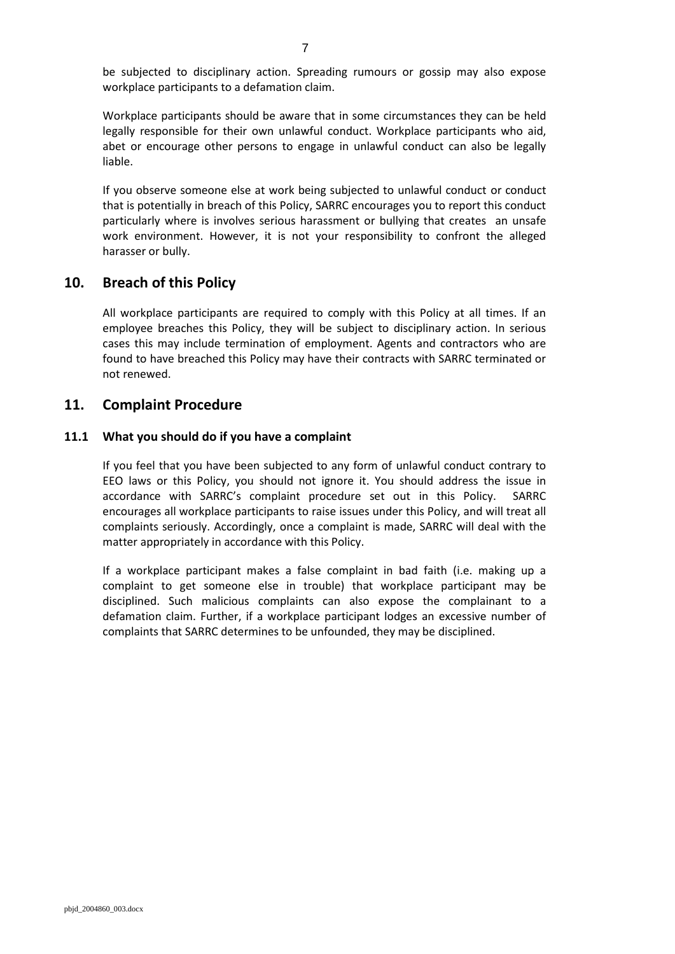be subjected to disciplinary action. Spreading rumours or gossip may also expose workplace participants to a defamation claim.

Workplace participants should be aware that in some circumstances they can be held legally responsible for their own unlawful conduct. Workplace participants who aid, abet or encourage other persons to engage in unlawful conduct can also be legally liable.

If you observe someone else at work being subjected to unlawful conduct or conduct that is potentially in breach of this Policy, SARRC encourages you to report this conduct particularly where is involves serious harassment or bullying that creates an unsafe work environment. However, it is not your responsibility to confront the alleged harasser or bully.

## **10. Breach of this Policy**

All workplace participants are required to comply with this Policy at all times. If an employee breaches this Policy, they will be subject to disciplinary action. In serious cases this may include termination of employment. Agents and contractors who are found to have breached this Policy may have their contracts with SARRC terminated or not renewed.

## **11. Complaint Procedure**

#### **11.1 What you should do if you have a complaint**

If you feel that you have been subjected to any form of unlawful conduct contrary to EEO laws or this Policy, you should not ignore it. You should address the issue in accordance with SARRC's complaint procedure set out in this Policy. SARRC encourages all workplace participants to raise issues under this Policy, and will treat all complaints seriously. Accordingly, once a complaint is made, SARRC will deal with the matter appropriately in accordance with this Policy.

If a workplace participant makes a false complaint in bad faith (i.e. making up a complaint to get someone else in trouble) that workplace participant may be disciplined. Such malicious complaints can also expose the complainant to a defamation claim. Further, if a workplace participant lodges an excessive number of complaints that SARRC determines to be unfounded, they may be disciplined.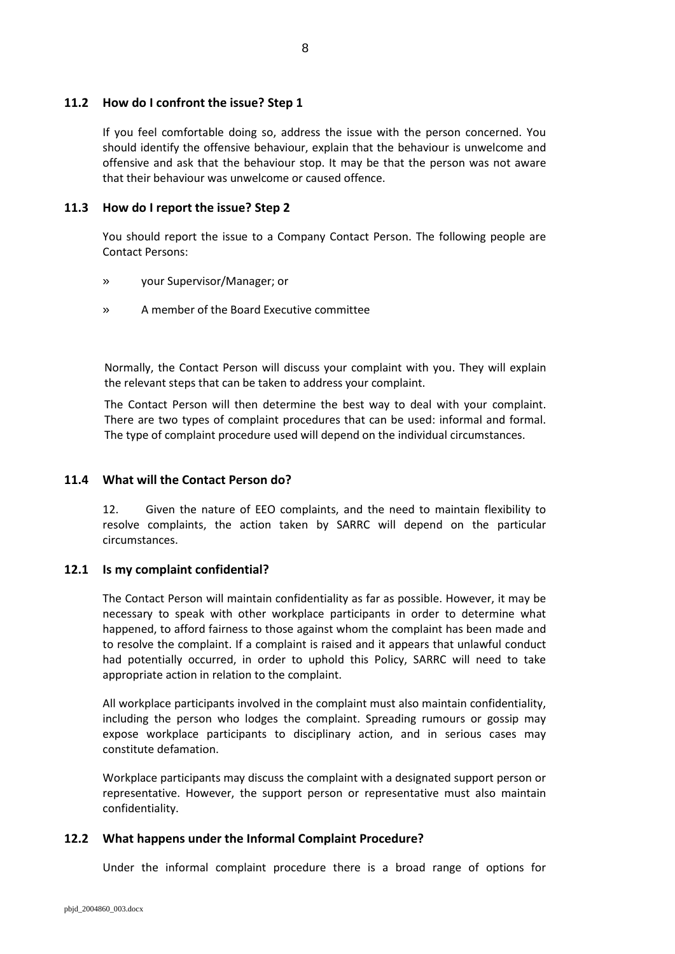#### **11.2 How do I confront the issue? Step 1**

If you feel comfortable doing so, address the issue with the person concerned. You should identify the offensive behaviour, explain that the behaviour is unwelcome and offensive and ask that the behaviour stop. It may be that the person was not aware that their behaviour was unwelcome or caused offence.

### **11.3 How do I report the issue? Step 2**

You should report the issue to a Company Contact Person. The following people are Contact Persons:

- » your Supervisor/Manager; or
- » A member of the Board Executive committee

Normally, the Contact Person will discuss your complaint with you. They will explain the relevant steps that can be taken to address your complaint.

The Contact Person will then determine the best way to deal with your complaint. There are two types of complaint procedures that can be used: informal and formal. The type of complaint procedure used will depend on the individual circumstances.

### **11.4 What will the Contact Person do?**

12. Given the nature of EEO complaints, and the need to maintain flexibility to resolve complaints, the action taken by SARRC will depend on the particular circumstances.

#### **12.1 Is my complaint confidential?**

The Contact Person will maintain confidentiality as far as possible. However, it may be necessary to speak with other workplace participants in order to determine what happened, to afford fairness to those against whom the complaint has been made and to resolve the complaint. If a complaint is raised and it appears that unlawful conduct had potentially occurred, in order to uphold this Policy, SARRC will need to take appropriate action in relation to the complaint.

All workplace participants involved in the complaint must also maintain confidentiality, including the person who lodges the complaint. Spreading rumours or gossip may expose workplace participants to disciplinary action, and in serious cases may constitute defamation.

Workplace participants may discuss the complaint with a designated support person or representative. However, the support person or representative must also maintain confidentiality.

#### **12.2 What happens under the Informal Complaint Procedure?**

Under the informal complaint procedure there is a broad range of options for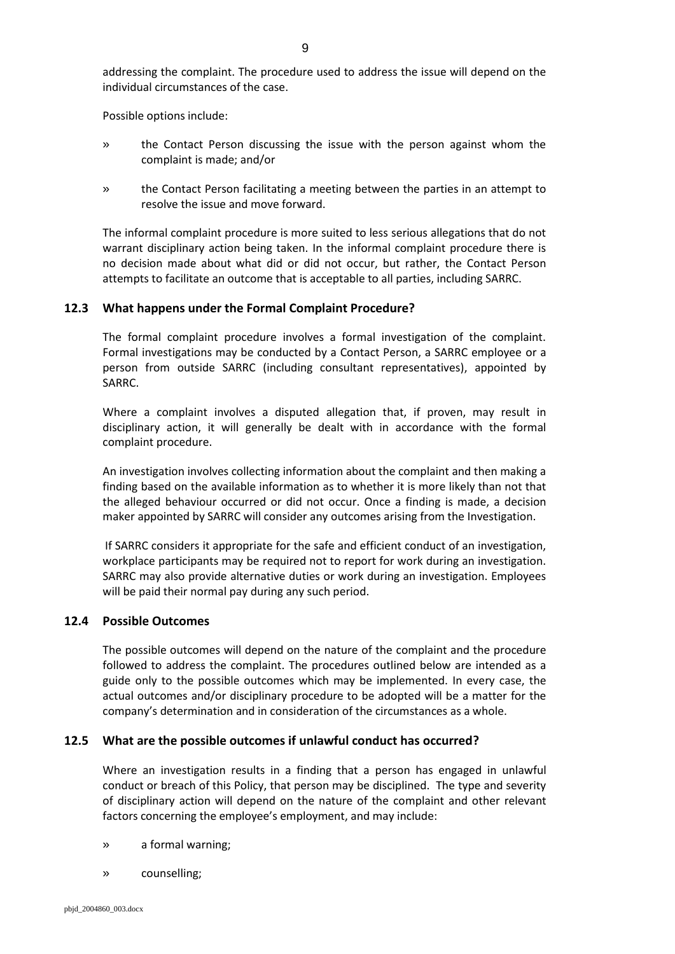addressing the complaint. The procedure used to address the issue will depend on the individual circumstances of the case.

Possible options include:

- » the Contact Person discussing the issue with the person against whom the complaint is made; and/or
- » the Contact Person facilitating a meeting between the parties in an attempt to resolve the issue and move forward.

The informal complaint procedure is more suited to less serious allegations that do not warrant disciplinary action being taken. In the informal complaint procedure there is no decision made about what did or did not occur, but rather, the Contact Person attempts to facilitate an outcome that is acceptable to all parties, including SARRC.

#### **12.3 What happens under the Formal Complaint Procedure?**

The formal complaint procedure involves a formal investigation of the complaint. Formal investigations may be conducted by a Contact Person, a SARRC employee or a person from outside SARRC (including consultant representatives), appointed by SARRC.

Where a complaint involves a disputed allegation that, if proven, may result in disciplinary action, it will generally be dealt with in accordance with the formal complaint procedure.

An investigation involves collecting information about the complaint and then making a finding based on the available information as to whether it is more likely than not that the alleged behaviour occurred or did not occur. Once a finding is made, a decision maker appointed by SARRC will consider any outcomes arising from the Investigation.

If SARRC considers it appropriate for the safe and efficient conduct of an investigation, workplace participants may be required not to report for work during an investigation. SARRC may also provide alternative duties or work during an investigation. Employees will be paid their normal pay during any such period.

#### **12.4 Possible Outcomes**

The possible outcomes will depend on the nature of the complaint and the procedure followed to address the complaint. The procedures outlined below are intended as a guide only to the possible outcomes which may be implemented. In every case, the actual outcomes and/or disciplinary procedure to be adopted will be a matter for the company's determination and in consideration of the circumstances as a whole.

#### **12.5 What are the possible outcomes if unlawful conduct has occurred?**

Where an investigation results in a finding that a person has engaged in unlawful conduct or breach of this Policy, that person may be disciplined. The type and severity of disciplinary action will depend on the nature of the complaint and other relevant factors concerning the employee's employment, and may include:

- » a formal warning;
- » counselling;